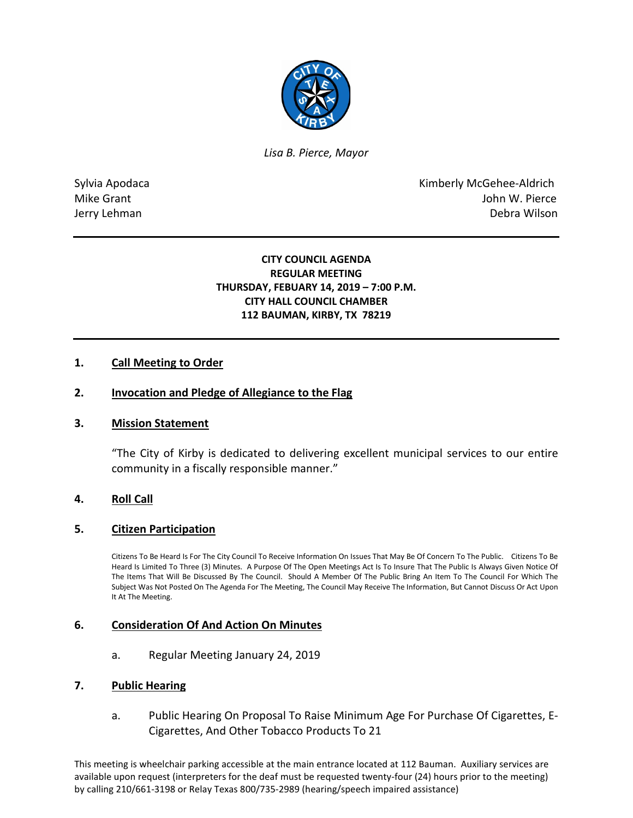

*Lisa B. Pierce, Mayor* 

Sylvia Apodaca **Kimberly McGehee-Aldrich** Mike Grant **Mike Grant** John W. Pierce Jerry Lehman Debra Wilson

# **CITY COUNCIL AGENDA REGULAR MEETING THURSDAY, FEBUARY 14, 2019 – 7:00 P.M. CITY HALL COUNCIL CHAMBER 112 BAUMAN, KIRBY, TX 78219**

# **1. Call Meeting to Order**

## **2. Invocation and Pledge of Allegiance to the Flag**

## **3. Mission Statement**

"The City of Kirby is dedicated to delivering excellent municipal services to our entire community in a fiscally responsible manner."

## **4. Roll Call**

## **5. Citizen Participation**

Citizens To Be Heard Is For The City Council To Receive Information On Issues That May Be Of Concern To The Public. Citizens To Be Heard Is Limited To Three (3) Minutes. A Purpose Of The Open Meetings Act Is To Insure That The Public Is Always Given Notice Of The Items That Will Be Discussed By The Council. Should A Member Of The Public Bring An Item To The Council For Which The Subject Was Not Posted On The Agenda For The Meeting, The Council May Receive The Information, But Cannot Discuss Or Act Upon It At The Meeting.

## **6. Consideration Of And Action On Minutes**

a. Regular Meeting January 24, 2019

#### **7. Public Hearing**

a. Public Hearing On Proposal To Raise Minimum Age For Purchase Of Cigarettes, E-Cigarettes, And Other Tobacco Products To 21

This meeting is wheelchair parking accessible at the main entrance located at 112 Bauman. Auxiliary services are available upon request (interpreters for the deaf must be requested twenty-four (24) hours prior to the meeting) by calling 210/661-3198 or Relay Texas 800/735-2989 (hearing/speech impaired assistance)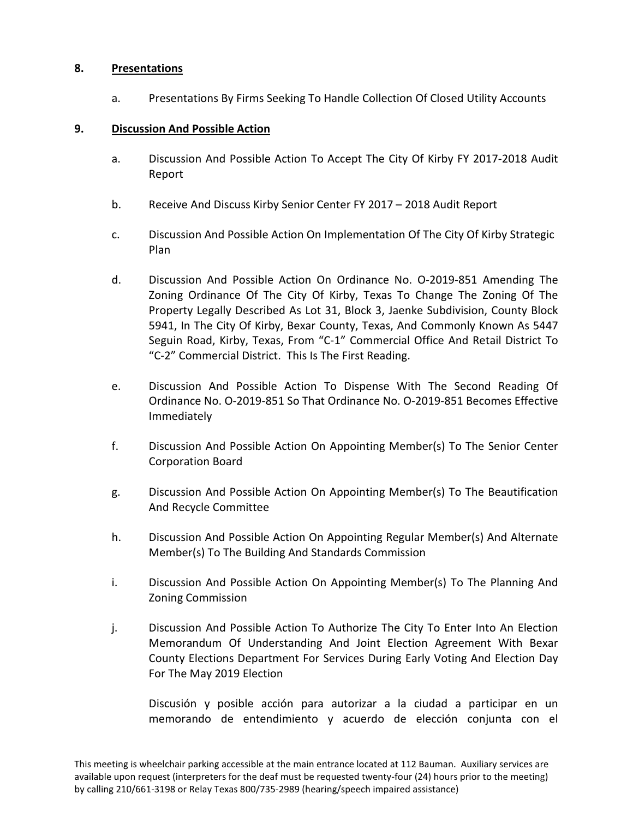# **8. Presentations**

a. Presentations By Firms Seeking To Handle Collection Of Closed Utility Accounts

## **9. Discussion And Possible Action**

- a. Discussion And Possible Action To Accept The City Of Kirby FY 2017-2018 Audit Report
- b. Receive And Discuss Kirby Senior Center FY 2017 2018 Audit Report
- c. Discussion And Possible Action On Implementation Of The City Of Kirby Strategic Plan
- d. Discussion And Possible Action On Ordinance No. O-2019-851 Amending The Zoning Ordinance Of The City Of Kirby, Texas To Change The Zoning Of The Property Legally Described As Lot 31, Block 3, Jaenke Subdivision, County Block 5941, In The City Of Kirby, Bexar County, Texas, And Commonly Known As 5447 Seguin Road, Kirby, Texas, From "C-1" Commercial Office And Retail District To "C-2" Commercial District. This Is The First Reading.
- e. Discussion And Possible Action To Dispense With The Second Reading Of Ordinance No. O-2019-851 So That Ordinance No. O-2019-851 Becomes Effective Immediately
- f. Discussion And Possible Action On Appointing Member(s) To The Senior Center Corporation Board
- g. Discussion And Possible Action On Appointing Member(s) To The Beautification And Recycle Committee
- h. Discussion And Possible Action On Appointing Regular Member(s) And Alternate Member(s) To The Building And Standards Commission
- i. Discussion And Possible Action On Appointing Member(s) To The Planning And Zoning Commission
- j. Discussion And Possible Action To Authorize The City To Enter Into An Election Memorandum Of Understanding And Joint Election Agreement With Bexar County Elections Department For Services During Early Voting And Election Day For The May 2019 Election

Discusión y posible acción para autorizar a la ciudad a participar en un memorando de entendimiento y acuerdo de elección conjunta con el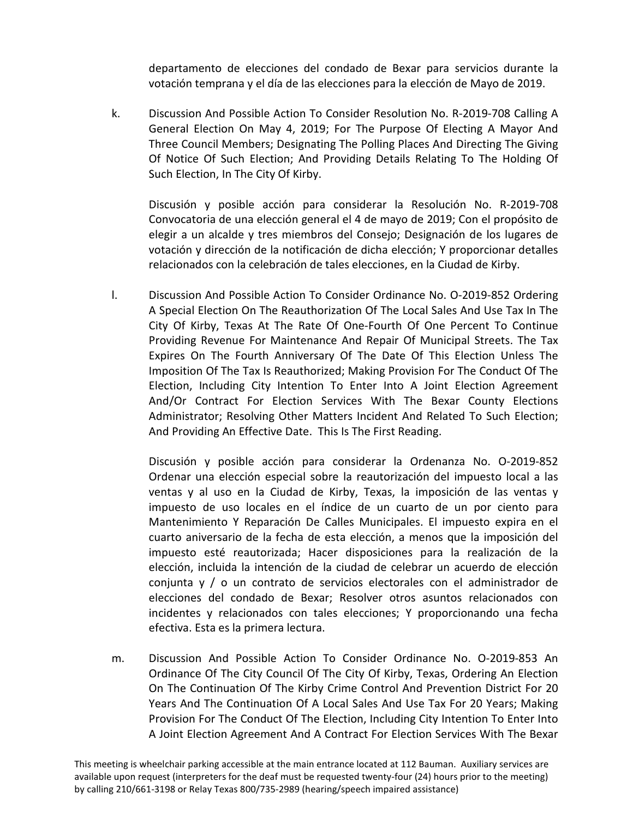departamento de elecciones del condado de Bexar para servicios durante la votación temprana y el día de las elecciones para la elección de Mayo de 2019.

k. Discussion And Possible Action To Consider Resolution No. R-2019-708 Calling A General Election On May 4, 2019; For The Purpose Of Electing A Mayor And Three Council Members; Designating The Polling Places And Directing The Giving Of Notice Of Such Election; And Providing Details Relating To The Holding Of Such Election, In The City Of Kirby.

Discusión y posible acción para considerar la Resolución No. R-2019-708 Convocatoria de una elección general el 4 de mayo de 2019; Con el propósito de elegir a un alcalde y tres miembros del Consejo; Designación de los lugares de votación y dirección de la notificación de dicha elección; Y proporcionar detalles relacionados con la celebración de tales elecciones, en la Ciudad de Kirby.

l. Discussion And Possible Action To Consider Ordinance No. O-2019-852 Ordering A Special Election On The Reauthorization Of The Local Sales And Use Tax In The City Of Kirby, Texas At The Rate Of One-Fourth Of One Percent To Continue Providing Revenue For Maintenance And Repair Of Municipal Streets. The Tax Expires On The Fourth Anniversary Of The Date Of This Election Unless The Imposition Of The Tax Is Reauthorized; Making Provision For The Conduct Of The Election, Including City Intention To Enter Into A Joint Election Agreement And/Or Contract For Election Services With The Bexar County Elections Administrator; Resolving Other Matters Incident And Related To Such Election; And Providing An Effective Date. This Is The First Reading.

Discusión y posible acción para considerar la Ordenanza No. O-2019-852 Ordenar una elección especial sobre la reautorización del impuesto local a las ventas y al uso en la Ciudad de Kirby, Texas, la imposición de las ventas y impuesto de uso locales en el índice de un cuarto de un por ciento para Mantenimiento Y Reparación De Calles Municipales. El impuesto expira en el cuarto aniversario de la fecha de esta elección, a menos que la imposición del impuesto esté reautorizada; Hacer disposiciones para la realización de la elección, incluida la intención de la ciudad de celebrar un acuerdo de elección conjunta y / o un contrato de servicios electorales con el administrador de elecciones del condado de Bexar; Resolver otros asuntos relacionados con incidentes y relacionados con tales elecciones; Y proporcionando una fecha efectiva. Esta es la primera lectura.

m. Discussion And Possible Action To Consider Ordinance No. O-2019-853 An Ordinance Of The City Council Of The City Of Kirby, Texas, Ordering An Election On The Continuation Of The Kirby Crime Control And Prevention District For 20 Years And The Continuation Of A Local Sales And Use Tax For 20 Years; Making Provision For The Conduct Of The Election, Including City Intention To Enter Into A Joint Election Agreement And A Contract For Election Services With The Bexar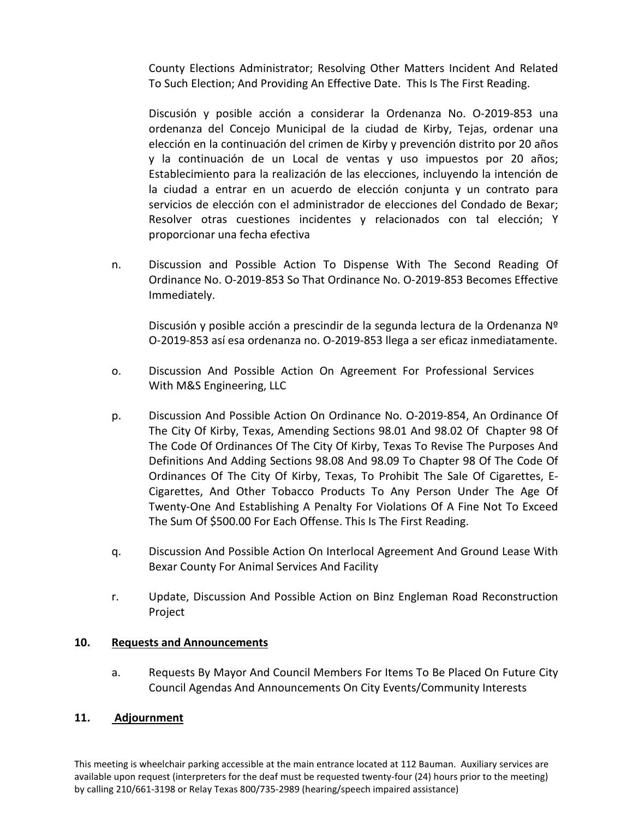County Elections Administrator; Resolving Other Matters Incident And Related To Such Election; And Providing An Effective Date. This Is The First Reading.

Discusión y posible acción a considerar la Ordenanza No. O-2019-853 una ordenanza del Concejo Municipal de la ciudad de Kirby, Tejas, ordenar una elección en la continuación del crimen de Kirby y prevención distrito por 20 años y la continuación de un Local de ventas y uso impuestos por 20 años; Establecimiento para la realización de las elecciones, incluyendo la intención de la ciudad a entrar en un acuerdo de elección conjunta y un contrato para servicios de elección con el administrador de elecciones del Condado de Bexar; Resolver otras cuestiones incidentes y relacionados con tal elección; Y proporcionar una fecha efectiva

n. Discussion and Possible Action To Dispense With The Second Reading Of Ordinance No. O-2019-853 So That Ordinance No. O-2019-853 Becomes Effective Immediately.

Discusión y posible acción a prescindir de la segunda lectura de la Ordenanza Nº O-2019-853 así esa ordenanza no. O-2019-853 llega a ser eficaz inmediatamente.

- o. Discussion And Possible Action On Agreement For Professional Services With M&S Engineering, LLC
- p. Discussion And Possible Action On Ordinance No. O-2019-854, An Ordinance Of The City Of Kirby, Texas, Amending Sections 98.01 And 98.02 Of Chapter 98 Of The Code Of Ordinances Of The City Of Kirby, Texas To Revise The Purposes And Definitions And Adding Sections 98.08 And 98.09 To Chapter 98 Of The Code Of Ordinances Of The City Of Kirby, Texas, To Prohibit The Sale Of Cigarettes, E-Cigarettes, And Other Tobacco Products To Any Person Under The Age Of Twenty-One And Establishing A Penalty For Violations Of A Fine Not To Exceed The Sum Of \$500.00 For Each Offense. This Is The First Reading.
- q. Discussion And Possible Action On Interlocal Agreement And Ground Lease With Bexar County For Animal Services And Facility
- r. Update, Discussion And Possible Action on Binz Engleman Road Reconstruction Project

# **10. Requests and Announcements**

a. Requests By Mayor And Council Members For Items To Be Placed On Future City Council Agendas And Announcements On City Events/Community Interests

# **11. Adjournment**

This meeting is wheelchair parking accessible at the main entrance located at 112 Bauman. Auxiliary services are available upon request (interpreters for the deaf must be requested twenty-four (24) hours prior to the meeting) by calling 210/661-3198 or Relay Texas 800/735-2989 (hearing/speech impaired assistance)